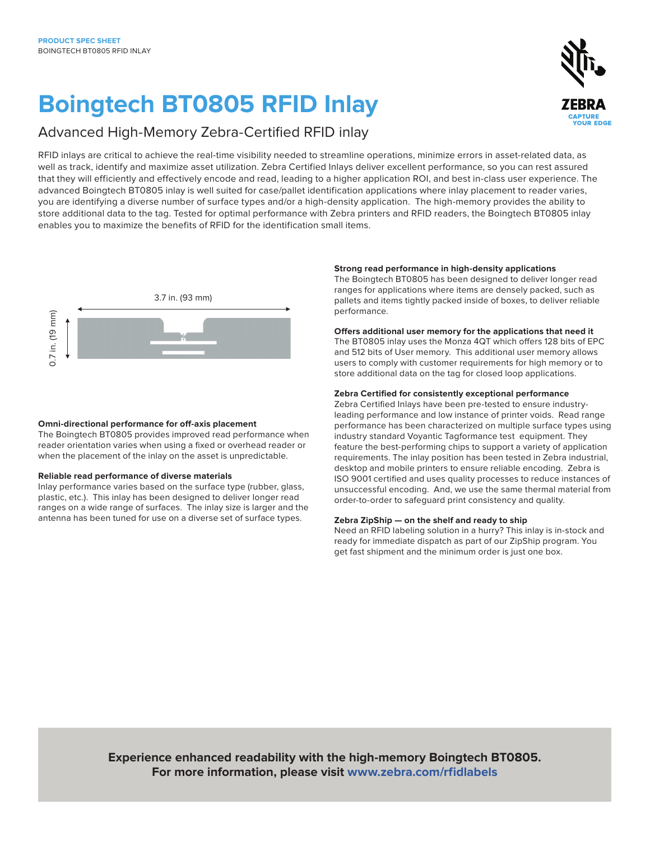# **Boingtech BT0805 RFID Inlay**

### Advanced High-Memory Zebra-Certified RFID inlay

RFID inlays are critical to achieve the real-time visibility needed to streamline operations, minimize errors in asset-related data, as well as track, identify and maximize asset utilization. Zebra Certified Inlays deliver excellent performance, so you can rest assured that they will efficiently and effectively encode and read, leading to a higher application ROI, and best in-class user experience. The advanced Boingtech BT0805 inlay is well suited for case/pallet identification applications where inlay placement to reader varies, you are identifying a diverse number of surface types and/or a high-density application. The high-memory provides the ability to store additional data to the tag. Tested for optimal performance with Zebra printers and RFID readers, the Boingtech BT0805 inlay enables you to maximize the benefits of RFID for the identification small items.



#### **Omni-directional performance for off-axis placement**

The Boingtech BT0805 provides improved read performance when reader orientation varies when using a fixed or overhead reader or when the placement of the inlay on the asset is unpredictable.

#### **Reliable read performance of diverse materials**

Inlay performance varies based on the surface type (rubber, glass, plastic, etc.). This inlay has been designed to deliver longer read ranges on a wide range of surfaces. The inlay size is larger and the antenna has been tuned for use on a diverse set of surface types.

#### **Strong read performance in high-density applications**

The Boingtech BT0805 has been designed to deliver longer read ranges for applications where items are densely packed, such as pallets and items tightly packed inside of boxes, to deliver reliable performance.

#### **Offers additional user memory for the applications that need it**

The BT0805 inlay uses the Monza 4QT which offers 128 bits of EPC and 512 bits of User memory. This additional user memory allows users to comply with customer requirements for high memory or to store additional data on the tag for closed loop applications.

#### **Zebra Certified for consistently exceptional performance**

Zebra Certified Inlays have been pre-tested to ensure industryleading performance and low instance of printer voids. Read range performance has been characterized on multiple surface types using industry standard Voyantic Tagformance test equipment. They feature the best-performing chips to support a variety of application requirements. The inlay position has been tested in Zebra industrial, desktop and mobile printers to ensure reliable encoding. Zebra is ISO 9001 certified and uses quality processes to reduce instances of unsuccessful encoding. And, we use the same thermal material from order-to-order to safeguard print consistency and quality.

#### **Zebra ZipShip — on the shelf and ready to ship**

Need an RFID labeling solution in a hurry? This inlay is in-stock and ready for immediate dispatch as part of our ZipShip program. You get fast shipment and the minimum order is just one box.

**Experience enhanced readability with the high-memory Boingtech BT0805. For more information, please visit [www.zebra.com/rfidlabels](https://www.zebra.com/us/en/products/supplies/rfid-labels-tags.html)**